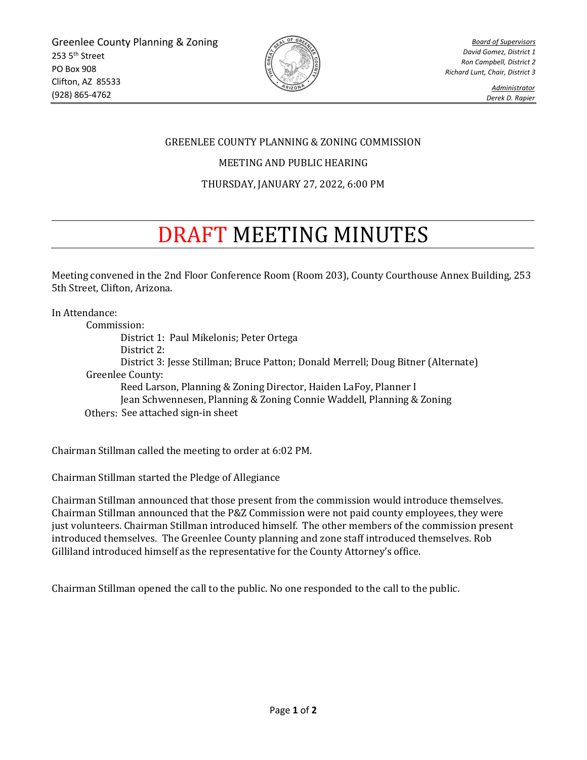

*Board of Supervisors David Gomez, District 1 Ron Campbell, District 2 Richard Lunt, Chair, District 3*

> *Administrator Derek D. Rapier*

## GREENLEE COUNTY PLANNING & ZONING COMMISSION

## MEETING AND PUBLIC HEARING

## THURSDAY, JANUARY 27, 2022, 6:00 PM

## DRAFT MEETING MINUTES

Meeting convened in the 2nd Floor Conference Room (Room 203), County Courthouse Annex Building, 253 5th Street, Clifton, Arizona.

In Attendance:

Commission: District 1: Paul Mikelonis; Peter Ortega District 2: District 3: Jesse Stillman; Bruce Patton; Donald Merrell; Doug Bitner (Alternate) Greenlee County: Reed Larson, Planning & Zoning Director, Haiden LaFoy, Planner I Jean Schwennesen, Planning & Zoning Connie Waddell, Planning & Zoning Others: See attached sign-in sheet

Chairman Stillman called the meeting to order at 6:02 PM.

Chairman Stillman started the Pledge of Allegiance

Chairman Stillman announced that those present from the commission would introduce themselves. Chairman Stillman announced that the P&Z Commission were not paid county employees, they were just volunteers. Chairman Stillman introduced himself. The other members of the commission present introduced themselves. The Greenlee County planning and zone staff introduced themselves. Rob Gilliland introduced himself as the representative for the County Attorney's office.

Chairman Stillman opened the call to the public. No one responded to the call to the public.